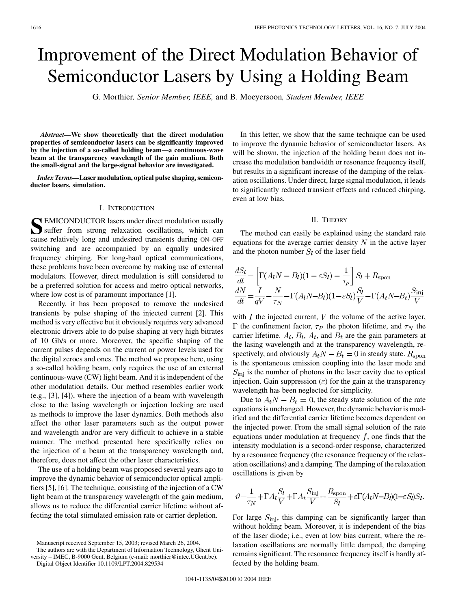# Improvement of the Direct Modulation Behavior of Semiconductor Lasers by Using a Holding Beam

G. Morthier*, Senior Member, IEEE,* and B. Moeyersoon*, Student Member, IEEE*

*Abstract—***We show theoretically that the direct modulation properties of semiconductor lasers can be significantly improved by the injection of a so-called holding beam—a continuous-wave beam at the transparency wavelength of the gain medium. Both the small-signal and the large-signal behavior are investigated.**

*Index Terms—***Laser modulation, optical pulse shaping, semiconductor lasers, simulation.**

#### I. INTRODUCTION

**S**EMICONDUCTOR lasers under direct modulation usually suffer from strong relaxation oscillations, which can cause relatively long and undesired transients during ON–OFF switching and are accompanied by an equally undesired frequency chirping. For long-haul optical communications, these problems have been overcome by making use of external modulators. However, direct modulation is still considered to be a preferred solution for access and metro optical networks, where low cost is of paramount importance [[1\]](#page-2-0).

Recently, it has been proposed to remove the undesired transients by pulse shaping of the injected current [[2\]](#page-2-0). This method is very effective but it obviously requires very advanced electronic drivers able to do pulse shaping at very high bitrates of 10 Gb/s or more. Moreover, the specific shaping of the current pulses depends on the current or power levels used for the digital zeroes and ones. The method we propose here, using a so-called holding beam, only requires the use of an external continuous-wave (CW) light beam. And it is independent of the other modulation details. Our method resembles earlier work (e.g., [\[3](#page-2-0)], [\[4](#page-2-0)]), where the injection of a beam with wavelength close to the lasing wavelength or injection locking are used as methods to improve the laser dynamics. Both methods also affect the other laser parameters such as the output power and wavelength and/or are very difficult to achieve in a stable manner. The method presented here specifically relies on the injection of a beam at the transparency wavelength and, therefore, does not affect the other laser characteristics.

The use of a holding beam was proposed several years ago to improve the dynamic behavior of semiconductor optical amplifiers [[5\]](#page-2-0), [[6\]](#page-2-0). The technique, consisting of the injection of a CW light beam at the transparency wavelength of the gain medium, allows us to reduce the differential carrier lifetime without affecting the total stimulated emission rate or carrier depletion.

Manuscript received September 15, 2003; revised March 26, 2004.

The authors are with the Department of Information Technology, Ghent University – IMEC, B-9000 Gent, Belgium (e-mail: morthier@intec.UGent.be).

Digital Object Identifier 10.1109/LPT.2004.829534

In this letter, we show that the same technique can be used to improve the dynamic behavior of semiconductor lasers. As will be shown, the injection of the holding beam does not increase the modulation bandwidth or resonance frequency itself, but results in a significant increase of the damping of the relaxation oscillations. Under direct, large signal modulation, it leads to significantly reduced transient effects and reduced chirping, even at low bias.

#### II. THEORY

The method can easily be explained using the standard rate equations for the average carrier density  $N$  in the active layer and the photon number  $S_l$  of the laser field

$$
\frac{dS_l}{dt} = \left[\Gamma(A_l N - B_l)(1 - \varepsilon S_l) - \frac{1}{\tau_p}\right] S_l + R_{\text{spon}}
$$

$$
\frac{dN}{dt} = \frac{I}{qV} - \frac{N}{\tau_N} - \Gamma(A_l N - B_l)(1 - \varepsilon S_l) \frac{S_l}{V} - \Gamma(A_l N - B_l) \frac{S_{\text{inj}}}{V}
$$

with  $I$  the injected current,  $V$  the volume of the active layer,  $\Gamma$  the confinement factor,  $\tau_P$  the photon lifetime, and  $\tau_N$  the carrier lifetime.  $A_l$ ,  $B_l$ ,  $A_t$ , and  $B_t$  are the gain parameters at the lasing wavelength and at the transparency wavelength, respectively, and obviously  $A_t N - B_t = 0$  in steady state.  $R_{\text{spon}}$ is the spontaneous emission coupling into the laser mode and  $S_{\text{ini}}$  is the number of photons in the laser cavity due to optical injection. Gain suppression  $(\varepsilon)$  for the gain at the transparency wavelength has been neglected for simplicity.

Due to  $A_t N - B_t = 0$ , the steady state solution of the rate equations is unchanged. However, the dynamic behavior is modified and the differential carrier lifetime becomes dependent on the injected power. From the small signal solution of the rate equations under modulation at frequency  $f$ , one finds that the intensity modulation is a second-order response, characterized by a resonance frequency (the resonance frequency of the relaxation oscillations) and a damping. The damping of the relaxation oscillations is given by

$$
\vartheta = \frac{1}{\tau_N} + \Gamma A_l \frac{S_l}{V} + \Gamma A_t \frac{S_{\text{inj}}}{V} + \frac{R_{\text{spon}}}{S_l} + \varepsilon \Gamma (A_l N - B_l)(1 - \varepsilon S_l) S_l.
$$

For large  $S_{\text{inj}}$ , this damping can be significantly larger than without holding beam. Moreover, it is independent of the bias of the laser diode; i.e., even at low bias current, where the relaxation oscillations are normally little damped, the damping remains significant. The resonance frequency itself is hardly affected by the holding beam.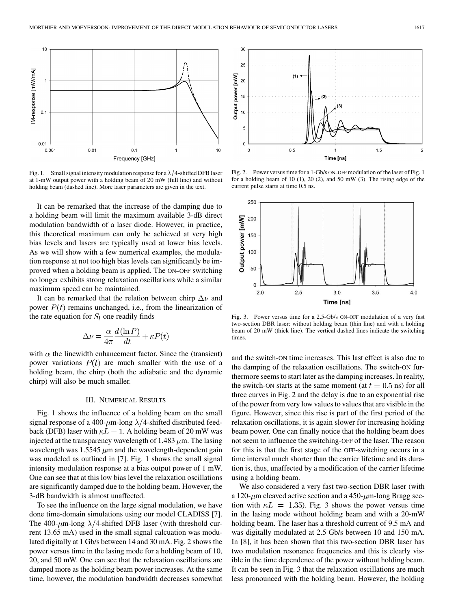

Fig. 1. Small signal intensity modulation response for a  $\lambda/4$ -shifted DFB laser at 1-mW output power with a holding beam of 20 mW (full line) and without holding beam (dashed line). More laser parameters are given in the text.

It can be remarked that the increase of the damping due to a holding beam will limit the maximum available 3-dB direct modulation bandwidth of a laser diode. However, in practice, this theoretical maximum can only be achieved at very high bias levels and lasers are typically used at lower bias levels. As we will show with a few numerical examples, the modulation response at not too high bias levels can significantly be improved when a holding beam is applied. The ON–OFF switching no longer exhibits strong relaxation oscillations while a similar maximum speed can be maintained.

It can be remarked that the relation between chirp  $\Delta \nu$  and power  $P(t)$  remains unchanged, i.e., from the linearization of the rate equation for  $S_l$  one readily finds

$$
\Delta \nu = \frac{\alpha}{4\pi} \frac{d(\ln P)}{dt} + \kappa P(t)
$$

with  $\alpha$  the linewidth enhancement factor. Since the (transient) power variations  $P(t)$  are much smaller with the use of a holding beam, the chirp (both the adiabatic and the dynamic chirp) will also be much smaller.

### III. NUMERICAL RESULTS

Fig. 1 shows the influence of a holding beam on the small signal response of a 400- $\mu$ m-long  $\lambda$ /4-shifted distributed feedback (DFB) laser with  $\kappa L = 1$ . A holding beam of 20 mW was injected at the transparency wavelength of 1.483  $\mu$ m. The lasing wavelength was 1.5545  $\mu$ m and the wavelength-dependent gain was modeled as outlined in [\[7\]](#page-2-0). Fig. 1 shows the small signal intensity modulation response at a bias output power of 1 mW. One can see that at this low bias level the relaxation oscillations are significantly damped due to the holding beam. However, the 3-dB bandwidth is almost unaffected.

To see the influence on the large signal modulation, we have done time-domain simulations using our model CLADISS [\[7](#page-2-0)]. The 400- $\mu$ m-long  $\lambda$ /4-shifted DFB laser (with threshold current 13.65 mA) used in the small signal calcuation was modulated digitally at 1 Gb/s between 14 and 30 mA. Fig. 2 shows the power versus time in the lasing mode for a holding beam of 10, 20, and 50 mW. One can see that the relaxation oscillations are damped more as the holding beam power increases. At the same time, however, the modulation bandwidth decreases somewhat



Fig. 2. Power versus time for a 1-Gb/s ON–OFF modulation of the laser of Fig. 1 for a holding beam of 10 (1), 20 (2), and 50 mW (3). The rising edge of the current pulse starts at time 0.5 ns.



Fig. 3. Power versus time for a 2.5-Gb/s ON–OFF modulation of a very fast two-section DBR laser: without holding beam (thin line) and with a holding beam of 20 mW (thick line). The vertical dashed lines indicate the switching times.

and the switch-ON time increases. This last effect is also due to the damping of the relaxation oscillations. The switch-ON furthermore seems to start later as the damping increases. In reality, the switch-ON starts at the same moment (at  $t = 0.5$  ns) for all three curves in Fig. 2 and the delay is due to an exponential rise of the power from very low values to values that are visible in the figure. However, since this rise is part of the first period of the relaxation oscillations, it is again slower for increasing holding beam power. One can finally notice that the holding beam does not seem to influence the switching-OFF of the laser. The reason for this is that the first stage of the OFF-switching occurs in a time interval much shorter than the carrier lifetime and its duration is, thus, unaffected by a modification of the carrier lifetime using a holding beam.

We also considered a very fast two-section DBR laser (with a 120- $\mu$ m cleaved active section and a 450- $\mu$ m-long Bragg section with  $\kappa L = 1.35$ ). Fig. 3 shows the power versus time in the lasing mode without holding beam and with a 20-mW holding beam. The laser has a threshold current of 9.5 mA and was digitally modulated at 2.5 Gb/s between 10 and 150 mA. In [\[8](#page-2-0)], it has been shown that this two-section DBR laser has two modulation resonance frequencies and this is clearly visible in the time dependence of the power without holding beam. It can be seen in Fig. 3 that the relaxation oscillations are much less pronounced with the holding beam. However, the holding